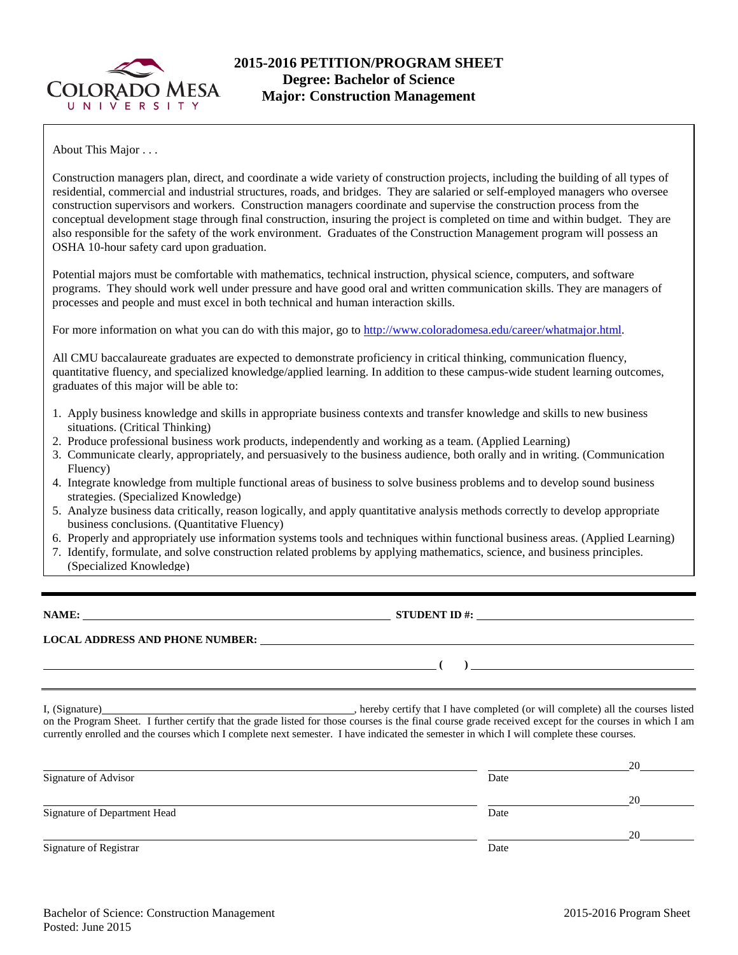

About This Major . . .

Construction managers plan, direct, and coordinate a wide variety of construction projects, including the building of all types of residential, commercial and industrial structures, roads, and bridges. They are salaried or self-employed managers who oversee construction supervisors and workers. Construction managers coordinate and supervise the construction process from the conceptual development stage through final construction, insuring the project is completed on time and within budget. They are also responsible for the safety of the work environment. Graduates of the Construction Management program will possess an OSHA 10-hour safety card upon graduation.

Potential majors must be comfortable with mathematics, technical instruction, physical science, computers, and software programs. They should work well under pressure and have good oral and written communication skills. They are managers of processes and people and must excel in both technical and human interaction skills.

For more information on what you can do with this major, go to [http://www.coloradomesa.edu/career/whatmajor.html.](http://www.coloradomesa.edu/career/whatmajor.html)

All CMU baccalaureate graduates are expected to demonstrate proficiency in critical thinking, communication fluency, quantitative fluency, and specialized knowledge/applied learning. In addition to these campus-wide student learning outcomes, graduates of this major will be able to:

- 1. Apply business knowledge and skills in appropriate business contexts and transfer knowledge and skills to new business situations. (Critical Thinking)
- 2. Produce professional business work products, independently and working as a team. (Applied Learning)
- 3. Communicate clearly, appropriately, and persuasively to the business audience, both orally and in writing. (Communication Fluency)
- 4. Integrate knowledge from multiple functional areas of business to solve business problems and to develop sound business strategies. (Specialized Knowledge)
- 5. Analyze business data critically, reason logically, and apply quantitative analysis methods correctly to develop appropriate business conclusions. (Quantitative Fluency)
- 6. Properly and appropriately use information systems tools and techniques within functional business areas. (Applied Learning)
- 7. Identify, formulate, and solve construction related problems by applying mathematics, science, and business principles. (Specialized Knowledge)

**NAME: STUDENT ID #: STUDENT ID #: STUDENT ID #: STUDENT ID #: STUDENT ID #: STUDENT ID #: STUDENT ID #: STUDENT ID #: STUDENT ID #: STUDENT ID #: STUDENT ID #: STUDENT ID #: STUDENT ID #: STUDE** 

**LOCAL ADDRESS AND PHONE NUMBER:**

I, (Signature) , hereby certify that I have completed (or will complete) all the courses listed on the Program Sheet. I further certify that the grade listed for those courses is the final course grade received except for the courses in which I am

currently enrolled and the courses which I complete next semester. I have indicated the semester in which I will complete these courses.

|                              |      | 20 |
|------------------------------|------|----|
| Signature of Advisor         | Date |    |
|                              |      | 20 |
| Signature of Department Head | Date |    |
|                              |      | 20 |
| Signature of Registrar       | Date |    |

**( )**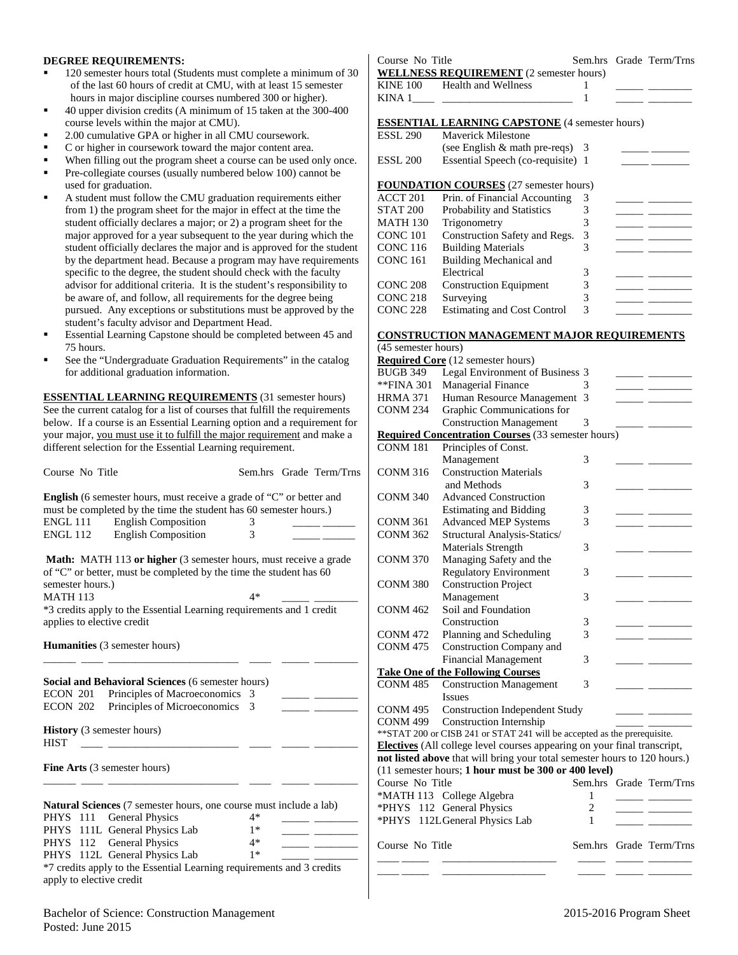### **DEGREE REQUIREMENTS:**

- 120 semester hours total (Students must complete a minimum of 30 of the last 60 hours of credit at CMU, with at least 15 semester hours in major discipline courses numbered 300 or higher).
- 40 upper division credits (A minimum of 15 taken at the 300-400 course levels within the major at CMU).
- 2.00 cumulative GPA or higher in all CMU coursework.
- C or higher in coursework toward the major content area.
- When filling out the program sheet a course can be used only once.
- Pre-collegiate courses (usually numbered below 100) cannot be
- used for graduation. A student must follow the CMU graduation requirements either from 1) the program sheet for the major in effect at the time the student officially declares a major; or 2) a program sheet for the
- major approved for a year subsequent to the year during which the student officially declares the major and is approved for the student by the department head. Because a program may have requirements specific to the degree, the student should check with the faculty advisor for additional criteria. It is the student's responsibility to be aware of, and follow, all requirements for the degree being pursued. Any exceptions or substitutions must be approved by the student's faculty advisor and Department Head.
- Essential Learning Capstone should be completed between 45 and 75 hours.
- See the "Undergraduate Graduation Requirements" in the catalog for additional graduation information.

**ESSENTIAL LEARNING REQUIREMENTS** (31 semester hours) See the current catalog for a list of courses that fulfill the requirements below. If a course is an Essential Learning option and a requirement for your major, you must use it to fulfill the major requirement and make a different selection for the Essential Learning requirement.

| Course No Title                                                                                                                                                                                                                                                                                    |        |  | Sem.hrs Grade Term/Trns |  |  |
|----------------------------------------------------------------------------------------------------------------------------------------------------------------------------------------------------------------------------------------------------------------------------------------------------|--------|--|-------------------------|--|--|
| English (6 semester hours, must receive a grade of "C" or better and<br>must be completed by the time the student has 60 semester hours.)<br><b>ENGL 111</b> English Composition<br>ENGL 112 English Composition                                                                                   | 3<br>3 |  |                         |  |  |
| <b>Math:</b> MATH 113 or higher (3 semester hours, must receive a grade<br>of "C" or better, must be completed by the time the student has 60<br>semester hours.)<br><b>MATH 113</b><br>$4*$<br>*3 credits apply to the Essential Learning requirements and 1 credit<br>applies to elective credit |        |  |                         |  |  |
| <b>Humanities</b> (3 semester hours)                                                                                                                                                                                                                                                               |        |  |                         |  |  |
| Social and Behavioral Sciences (6 semester hours)<br>ECON 201 Principles of Macroeconomics<br>Principles of Microeconomics<br>ECON 202<br><b>History</b> (3 semester hours)                                                                                                                        | 3<br>3 |  |                         |  |  |
| <b>HIST</b>                                                                                                                                                                                                                                                                                        |        |  |                         |  |  |
| <b>Fine Arts</b> (3 semester hours)                                                                                                                                                                                                                                                                |        |  |                         |  |  |
| <b>Natural Sciences</b> (7 semester hours, one course must include a lab)                                                                                                                                                                                                                          |        |  |                         |  |  |
| <b>General Physics</b><br><b>PHYS</b> 111                                                                                                                                                                                                                                                          | $4*$   |  |                         |  |  |
| PHYS 111L General Physics Lab                                                                                                                                                                                                                                                                      | $1*$   |  |                         |  |  |
| PHYS 112 General Physics                                                                                                                                                                                                                                                                           | $4*$   |  |                         |  |  |
| PHYS 112L General Physics Lab                                                                                                                                                                                                                                                                      | $1*$   |  |                         |  |  |
| *7 credits apply to the Essential Learning requirements and 3 credits<br>apply to elective credit                                                                                                                                                                                                  |        |  |                         |  |  |

Course No Title Sem.hrs Grade Term/Trns **WELLNESS REQUIREMENT** (2 semester hours) KINE 100 Health and Wellness 1 KINA  $1$   $1$ **ESSENTIAL LEARNING CAPSTONE** (4 semester hours)

| ESSL 200 | Essential Speech (co-requisite) 1 |  |
|----------|-----------------------------------|--|
|          | (see English $&$ math pre-reqs) 3 |  |
| ESSL 290 | <b>Maverick Milestone</b>         |  |

## **FOUNDATION COURSES** (27 semester hours)

| ACCT <sub>201</sub> | Prin. of Financial Accounting      | 3 |  |
|---------------------|------------------------------------|---|--|
| STAT 200            | <b>Probability and Statistics</b>  |   |  |
| <b>MATH 130</b>     | Trigonometry                       |   |  |
| CONC 101            | Construction Safety and Regs.      | 3 |  |
| <b>CONC 116</b>     | <b>Building Materials</b>          |   |  |
| <b>CONC 161</b>     | Building Mechanical and            |   |  |
|                     | Electrical                         | 3 |  |
| <b>CONC 208</b>     | <b>Construction Equipment</b>      | 3 |  |
| <b>CONC 218</b>     | Surveying                          |   |  |
| <b>CONC 228</b>     | <b>Estimating and Cost Control</b> | 3 |  |
|                     |                                    |   |  |

#### **CONSTRUCTION MANAGEMENT MAJOR REQUIREMENTS** (45 semester hours)

| (TJ suinusiul muuls) |                                                                                 |   |                                                                                                                                                                                                                                                                                                                                                                                                                       |                         |
|----------------------|---------------------------------------------------------------------------------|---|-----------------------------------------------------------------------------------------------------------------------------------------------------------------------------------------------------------------------------------------------------------------------------------------------------------------------------------------------------------------------------------------------------------------------|-------------------------|
|                      | <b>Required Core</b> (12 semester hours)                                        |   |                                                                                                                                                                                                                                                                                                                                                                                                                       |                         |
| <b>BUGB 349</b>      | Legal Environment of Business 3                                                 |   |                                                                                                                                                                                                                                                                                                                                                                                                                       |                         |
| **FINA 301           | Managerial Finance                                                              | 3 |                                                                                                                                                                                                                                                                                                                                                                                                                       |                         |
| <b>HRMA 371</b>      | Human Resource Management                                                       | 3 |                                                                                                                                                                                                                                                                                                                                                                                                                       |                         |
| <b>CONM 234</b>      | Graphic Communications for                                                      |   |                                                                                                                                                                                                                                                                                                                                                                                                                       |                         |
|                      | <b>Construction Management</b>                                                  | 3 |                                                                                                                                                                                                                                                                                                                                                                                                                       |                         |
|                      | <b>Required Concentration Courses</b> (33 semester hours)                       |   |                                                                                                                                                                                                                                                                                                                                                                                                                       |                         |
| <b>CONM 181</b>      | Principles of Const.                                                            |   |                                                                                                                                                                                                                                                                                                                                                                                                                       |                         |
|                      | Management                                                                      | 3 |                                                                                                                                                                                                                                                                                                                                                                                                                       |                         |
| <b>CONM 316</b>      | <b>Construction Materials</b>                                                   |   |                                                                                                                                                                                                                                                                                                                                                                                                                       |                         |
|                      | and Methods                                                                     | 3 |                                                                                                                                                                                                                                                                                                                                                                                                                       |                         |
| <b>CONM 340</b>      | <b>Advanced Construction</b>                                                    |   |                                                                                                                                                                                                                                                                                                                                                                                                                       |                         |
|                      | <b>Estimating and Bidding</b>                                                   | 3 |                                                                                                                                                                                                                                                                                                                                                                                                                       |                         |
| <b>CONM 361</b>      | <b>Advanced MEP Systems</b>                                                     | 3 |                                                                                                                                                                                                                                                                                                                                                                                                                       |                         |
| <b>CONM 362</b>      | Structural Analysis-Statics/                                                    |   |                                                                                                                                                                                                                                                                                                                                                                                                                       |                         |
|                      | <b>Materials Strength</b>                                                       | 3 |                                                                                                                                                                                                                                                                                                                                                                                                                       |                         |
| <b>CONM 370</b>      | Managing Safety and the                                                         |   |                                                                                                                                                                                                                                                                                                                                                                                                                       |                         |
|                      | <b>Regulatory Environment</b>                                                   | 3 |                                                                                                                                                                                                                                                                                                                                                                                                                       |                         |
| <b>CONM 380</b>      | <b>Construction Project</b>                                                     |   |                                                                                                                                                                                                                                                                                                                                                                                                                       |                         |
|                      | Management                                                                      | 3 |                                                                                                                                                                                                                                                                                                                                                                                                                       |                         |
| <b>CONM 462</b>      | Soil and Foundation                                                             |   |                                                                                                                                                                                                                                                                                                                                                                                                                       |                         |
|                      | Construction                                                                    | 3 |                                                                                                                                                                                                                                                                                                                                                                                                                       |                         |
| <b>CONM 472</b>      |                                                                                 | 3 |                                                                                                                                                                                                                                                                                                                                                                                                                       |                         |
|                      | Planning and Scheduling                                                         |   |                                                                                                                                                                                                                                                                                                                                                                                                                       |                         |
| <b>CONM 475</b>      | <b>Construction Company and</b>                                                 |   |                                                                                                                                                                                                                                                                                                                                                                                                                       |                         |
|                      | <b>Financial Management</b>                                                     | 3 |                                                                                                                                                                                                                                                                                                                                                                                                                       |                         |
|                      | <b>Take One of the Following Courses</b>                                        |   |                                                                                                                                                                                                                                                                                                                                                                                                                       |                         |
| <b>CONM 485</b>      | <b>Construction Management</b>                                                  | 3 |                                                                                                                                                                                                                                                                                                                                                                                                                       |                         |
|                      | <b>Issues</b>                                                                   |   |                                                                                                                                                                                                                                                                                                                                                                                                                       |                         |
| CONM 495             | <b>Construction Independent Study</b>                                           |   |                                                                                                                                                                                                                                                                                                                                                                                                                       |                         |
| CONM 499             | <b>Construction Internship</b>                                                  |   |                                                                                                                                                                                                                                                                                                                                                                                                                       |                         |
|                      | ** STAT 200 or CISB 241 or STAT 241 will be accepted as the prerequisite.       |   |                                                                                                                                                                                                                                                                                                                                                                                                                       |                         |
|                      | <b>Electives</b> (All college level courses appearing on your final transcript, |   |                                                                                                                                                                                                                                                                                                                                                                                                                       |                         |
|                      | not listed above that will bring your total semester hours to 120 hours.)       |   |                                                                                                                                                                                                                                                                                                                                                                                                                       |                         |
|                      | (11 semester hours; 1 hour must be 300 or 400 level)                            |   |                                                                                                                                                                                                                                                                                                                                                                                                                       |                         |
| Course No Title      |                                                                                 |   |                                                                                                                                                                                                                                                                                                                                                                                                                       | Sem.hrs Grade Term/Trns |
|                      | *MATH 113 College Algebra                                                       | 1 |                                                                                                                                                                                                                                                                                                                                                                                                                       |                         |
|                      | *PHYS 112 General Physics                                                       | 2 |                                                                                                                                                                                                                                                                                                                                                                                                                       |                         |
|                      | *PHYS 112L General Physics Lab                                                  | 1 |                                                                                                                                                                                                                                                                                                                                                                                                                       |                         |
| Course No Title      |                                                                                 |   |                                                                                                                                                                                                                                                                                                                                                                                                                       | Sem.hrs Grade Term/Trns |
|                      |                                                                                 |   | $\frac{1}{1-\frac{1}{1-\frac{1}{1-\frac{1}{1-\frac{1}{1-\frac{1}{1-\frac{1}{1-\frac{1}{1-\frac{1}{1-\frac{1}{1-\frac{1}{1-\frac{1}{1-\frac{1}{1-\frac{1}{1-\frac{1}{1-\frac{1}{1-\frac{1}{1-\frac{1}{1-\frac{1}{1-\frac{1}{1-\frac{1}{1-\frac{1}{1-\frac{1}{1-\frac{1}{1-\frac{1}{1-\frac{1}{1-\frac{1}{1-\frac{1}{1-\frac{1}{1-\frac{1}{1-\frac{1}{1-\frac{1}{1-\frac{1}{1-\frac{1}{1-\frac{1}{1-\frac{1}{1-\frac{1$ |                         |
|                      |                                                                                 |   |                                                                                                                                                                                                                                                                                                                                                                                                                       |                         |